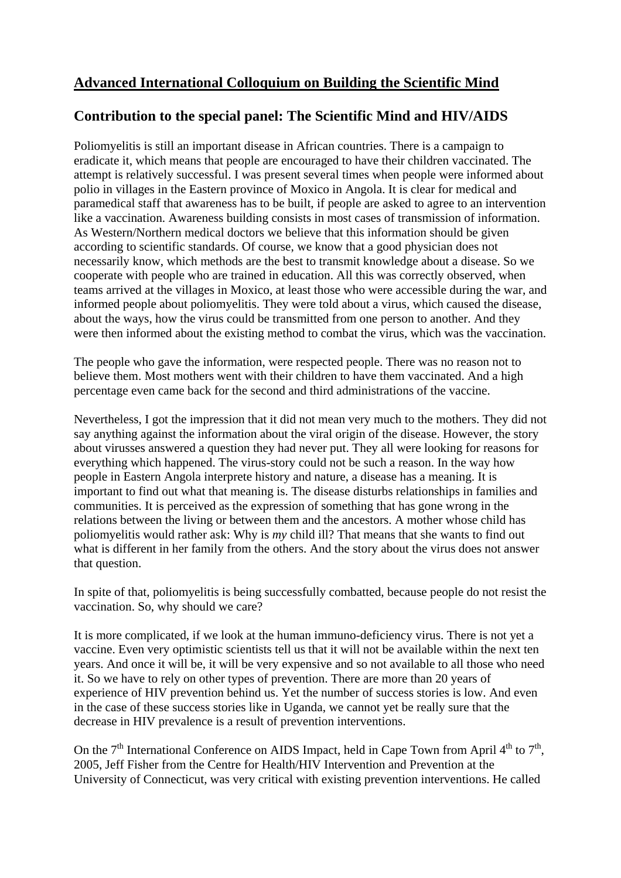## **Advanced International Colloquium on Building the Scientific Mind**

## **Contribution to the special panel: The Scientific Mind and HIV/AIDS**

Poliomyelitis is still an important disease in African countries. There is a campaign to eradicate it, which means that people are encouraged to have their children vaccinated. The attempt is relatively successful. I was present several times when people were informed about polio in villages in the Eastern province of Moxico in Angola. It is clear for medical and paramedical staff that awareness has to be built, if people are asked to agree to an intervention like a vaccination. Awareness building consists in most cases of transmission of information. As Western/Northern medical doctors we believe that this information should be given according to scientific standards. Of course, we know that a good physician does not necessarily know, which methods are the best to transmit knowledge about a disease. So we cooperate with people who are trained in education. All this was correctly observed, when teams arrived at the villages in Moxico, at least those who were accessible during the war, and informed people about poliomyelitis. They were told about a virus, which caused the disease, about the ways, how the virus could be transmitted from one person to another. And they were then informed about the existing method to combat the virus, which was the vaccination.

The people who gave the information, were respected people. There was no reason not to believe them. Most mothers went with their children to have them vaccinated. And a high percentage even came back for the second and third administrations of the vaccine.

Nevertheless, I got the impression that it did not mean very much to the mothers. They did not say anything against the information about the viral origin of the disease. However, the story about virusses answered a question they had never put. They all were looking for reasons for everything which happened. The virus-story could not be such a reason. In the way how people in Eastern Angola interprete history and nature, a disease has a meaning. It is important to find out what that meaning is. The disease disturbs relationships in families and communities. It is perceived as the expression of something that has gone wrong in the relations between the living or between them and the ancestors. A mother whose child has poliomyelitis would rather ask: Why is *my* child ill? That means that she wants to find out what is different in her family from the others. And the story about the virus does not answer that question.

In spite of that, poliomyelitis is being successfully combatted, because people do not resist the vaccination. So, why should we care?

It is more complicated, if we look at the human immuno-deficiency virus. There is not yet a vaccine. Even very optimistic scientists tell us that it will not be available within the next ten years. And once it will be, it will be very expensive and so not available to all those who need it. So we have to rely on other types of prevention. There are more than 20 years of experience of HIV prevention behind us. Yet the number of success stories is low. And even in the case of these success stories like in Uganda, we cannot yet be really sure that the decrease in HIV prevalence is a result of prevention interventions.

On the  $7<sup>th</sup>$  International Conference on AIDS Impact, held in Cape Town from April  $4<sup>th</sup>$  to  $7<sup>th</sup>$ , 2005, Jeff Fisher from the Centre for Health/HIV Intervention and Prevention at the University of Connecticut, was very critical with existing prevention interventions. He called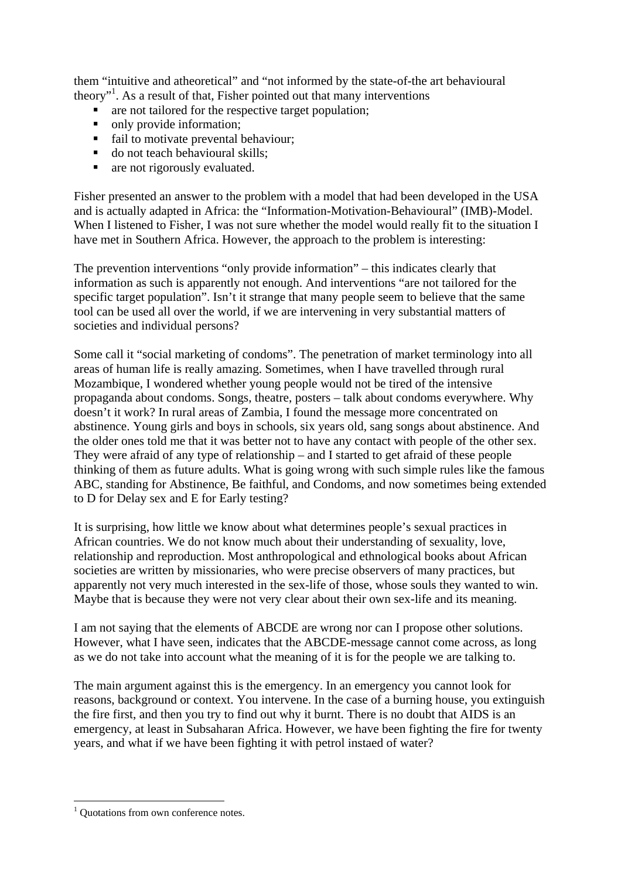them "intuitive and atheoretical" and "not informed by the state-of-the art behavioural theory"<sup>[1](#page-1-0)</sup>. As a result of that, Fisher pointed out that many interventions

- **a** are not tailored for the respective target population;
- only provide information:
- fail to motivate prevental behaviour;
- do not teach behavioural skills:
- **are not rigorously evaluated.**

Fisher presented an answer to the problem with a model that had been developed in the USA and is actually adapted in Africa: the "Information-Motivation-Behavioural" (IMB)-Model. When I listened to Fisher, I was not sure whether the model would really fit to the situation I have met in Southern Africa. However, the approach to the problem is interesting:

The prevention interventions "only provide information" – this indicates clearly that information as such is apparently not enough. And interventions "are not tailored for the specific target population". Isn't it strange that many people seem to believe that the same tool can be used all over the world, if we are intervening in very substantial matters of societies and individual persons?

Some call it "social marketing of condoms". The penetration of market terminology into all areas of human life is really amazing. Sometimes, when I have travelled through rural Mozambique, I wondered whether young people would not be tired of the intensive propaganda about condoms. Songs, theatre, posters – talk about condoms everywhere. Why doesn't it work? In rural areas of Zambia, I found the message more concentrated on abstinence. Young girls and boys in schools, six years old, sang songs about abstinence. And the older ones told me that it was better not to have any contact with people of the other sex. They were afraid of any type of relationship – and I started to get afraid of these people thinking of them as future adults. What is going wrong with such simple rules like the famous ABC, standing for Abstinence, Be faithful, and Condoms, and now sometimes being extended to D for Delay sex and E for Early testing?

It is surprising, how little we know about what determines people's sexual practices in African countries. We do not know much about their understanding of sexuality, love, relationship and reproduction. Most anthropological and ethnological books about African societies are written by missionaries, who were precise observers of many practices, but apparently not very much interested in the sex-life of those, whose souls they wanted to win. Maybe that is because they were not very clear about their own sex-life and its meaning.

I am not saying that the elements of ABCDE are wrong nor can I propose other solutions. However, what I have seen, indicates that the ABCDE-message cannot come across, as long as we do not take into account what the meaning of it is for the people we are talking to.

The main argument against this is the emergency. In an emergency you cannot look for reasons, background or context. You intervene. In the case of a burning house, you extinguish the fire first, and then you try to find out why it burnt. There is no doubt that AIDS is an emergency, at least in Subsaharan Africa. However, we have been fighting the fire for twenty years, and what if we have been fighting it with petrol instaed of water?

1

<span id="page-1-0"></span><sup>&</sup>lt;sup>1</sup> Quotations from own conference notes.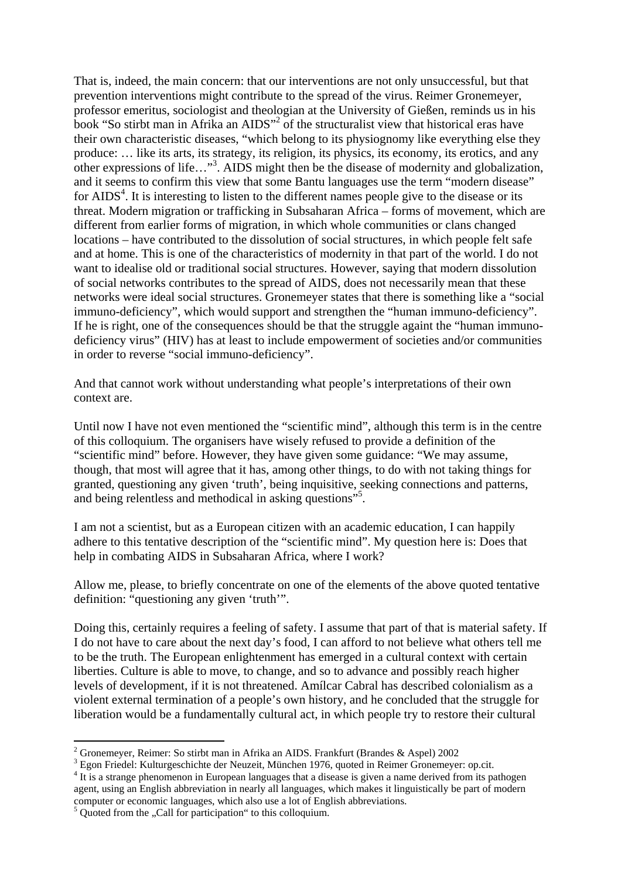That is, indeed, the main concern: that our interventions are not only unsuccessful, but that prevention interventions might contribute to the spread of the virus. Reimer Gronemeyer, professor emeritus, sociologist and theologian at the University of Gießen, reminds us in his book "So stirbt man in Afrika an AIDS"<sup>[2](#page-2-0)</sup> of the structuralist view that historical eras have their own characteristic diseases, "which belong to its physiognomy like everything else they produce: … like its arts, its strategy, its religion, its physics, its economy, its erotics, and any other expressions of life..."<sup>[3](#page-2-1)</sup>. AIDS might then be the disease of modernity and globalization, and it seems to confirm this view that some Bantu languages use the term "modern disease" for  $AIDS<sup>4</sup>$  $AIDS<sup>4</sup>$  $AIDS<sup>4</sup>$ . It is interesting to listen to the different names people give to the disease or its threat. Modern migration or trafficking in Subsaharan Africa – forms of movement, which are different from earlier forms of migration, in which whole communities or clans changed locations – have contributed to the dissolution of social structures, in which people felt safe and at home. This is one of the characteristics of modernity in that part of the world. I do not want to idealise old or traditional social structures. However, saying that modern dissolution of social networks contributes to the spread of AIDS, does not necessarily mean that these networks were ideal social structures. Gronemeyer states that there is something like a "social immuno-deficiency", which would support and strengthen the "human immuno-deficiency". If he is right, one of the consequences should be that the struggle againt the "human immunodeficiency virus" (HIV) has at least to include empowerment of societies and/or communities in order to reverse "social immuno-deficiency".

And that cannot work without understanding what people's interpretations of their own context are.

Until now I have not even mentioned the "scientific mind", although this term is in the centre of this colloquium. The organisers have wisely refused to provide a definition of the "scientific mind" before. However, they have given some guidance: "We may assume, though, that most will agree that it has, among other things, to do with not taking things for granted, questioning any given 'truth', being inquisitive, seeking connections and patterns, and being relentless and methodical in asking questions"<sup>5</sup>.

I am not a scientist, but as a European citizen with an academic education, I can happily adhere to this tentative description of the "scientific mind". My question here is: Does that help in combating AIDS in Subsaharan Africa, where I work?

Allow me, please, to briefly concentrate on one of the elements of the above quoted tentative definition: "questioning any given 'truth'".

Doing this, certainly requires a feeling of safety. I assume that part of that is material safety. If I do not have to care about the next day's food, I can afford to not believe what others tell me to be the truth. The European enlightenment has emerged in a cultural context with certain liberties. Culture is able to move, to change, and so to advance and possibly reach higher levels of development, if it is not threatened. Amílcar Cabral has described colonialism as a violent external termination of a people's own history, and he concluded that the struggle for liberation would be a fundamentally cultural act, in which people try to restore their cultural

<span id="page-2-0"></span> 2 Gronemeyer, Reimer: So stirbt man in Afrika an AIDS. Frankfurt (Brandes & Aspel) 2002

<span id="page-2-1"></span><sup>&</sup>lt;sup>3</sup> Egon Friedel: Kulturgeschichte der Neuzeit, München 1976, quoted in Reimer Gronemeyer: op.cit.

<span id="page-2-2"></span><sup>&</sup>lt;sup>4</sup> It is a strange phenomenon in European languages that a disease is given a name derived from its pathogen agent, using an English abbreviation in nearly all languages, which makes it linguistically be part of modern computer or economic languages, which also use a lot of English abbreviations.

<span id="page-2-3"></span> $5$  Quoted from the "Call for participation" to this colloquium.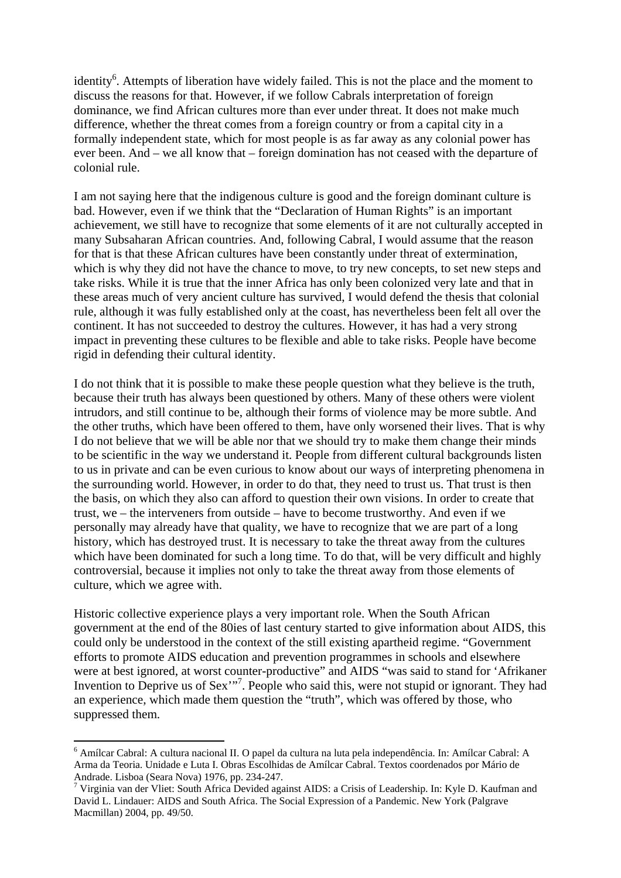identity<sup>[6](#page-3-0)</sup>. Attempts of liberation have widely failed. This is not the place and the moment to discuss the reasons for that. However, if we follow Cabrals interpretation of foreign dominance, we find African cultures more than ever under threat. It does not make much difference, whether the threat comes from a foreign country or from a capital city in a formally independent state, which for most people is as far away as any colonial power has ever been. And – we all know that – foreign domination has not ceased with the departure of colonial rule.

I am not saying here that the indigenous culture is good and the foreign dominant culture is bad. However, even if we think that the "Declaration of Human Rights" is an important achievement, we still have to recognize that some elements of it are not culturally accepted in many Subsaharan African countries. And, following Cabral, I would assume that the reason for that is that these African cultures have been constantly under threat of extermination, which is why they did not have the chance to move, to try new concepts, to set new steps and take risks. While it is true that the inner Africa has only been colonized very late and that in these areas much of very ancient culture has survived, I would defend the thesis that colonial rule, although it was fully established only at the coast, has nevertheless been felt all over the continent. It has not succeeded to destroy the cultures. However, it has had a very strong impact in preventing these cultures to be flexible and able to take risks. People have become rigid in defending their cultural identity.

I do not think that it is possible to make these people question what they believe is the truth, because their truth has always been questioned by others. Many of these others were violent intrudors, and still continue to be, although their forms of violence may be more subtle. And the other truths, which have been offered to them, have only worsened their lives. That is why I do not believe that we will be able nor that we should try to make them change their minds to be scientific in the way we understand it. People from different cultural backgrounds listen to us in private and can be even curious to know about our ways of interpreting phenomena in the surrounding world. However, in order to do that, they need to trust us. That trust is then the basis, on which they also can afford to question their own visions. In order to create that trust, we – the interveners from outside – have to become trustworthy. And even if we personally may already have that quality, we have to recognize that we are part of a long history, which has destroyed trust. It is necessary to take the threat away from the cultures which have been dominated for such a long time. To do that, will be very difficult and highly controversial, because it implies not only to take the threat away from those elements of culture, which we agree with.

Historic collective experience plays a very important role. When the South African government at the end of the 80ies of last century started to give information about AIDS, this could only be understood in the context of the still existing apartheid regime. "Government efforts to promote AIDS education and prevention programmes in schools and elsewhere were at best ignored, at worst counter-productive" and AIDS "was said to stand for 'Afrikaner Invention to Deprive us of Sex"<sup>7</sup>[.](#page-3-1) People who said this, were not stupid or ignorant. They had an experience, which made them question the "truth", which was offered by those, who suppressed them.

1

<span id="page-3-0"></span><sup>6</sup> Amílcar Cabral: A cultura nacional II. O papel da cultura na luta pela independência. In: Amílcar Cabral: A Arma da Teoria. Unidade e Luta I. Obras Escolhidas de Amílcar Cabral. Textos coordenados por Mário de

<span id="page-3-1"></span>Andrade. Lisboa (Seara Nova) 1976, pp. 234-247.<br><sup>7</sup> Virginia van der Vliet: South Africa Devided against AIDS: a Crisis of Leadership. In: Kyle D. Kaufman and David L. Lindauer: AIDS and South Africa. The Social Expression of a Pandemic. New York (Palgrave Macmillan) 2004, pp. 49/50.